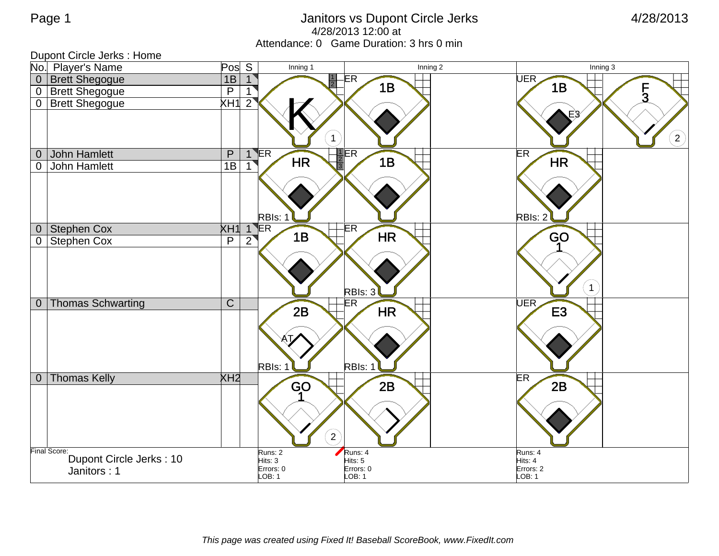## Page 1 Janitors vs Dupont Circle Jerks 4/28/2013 4/28/2013 12:00 at Attendance: 0 Game Duration: 3 hrs 0 min

| Dupont Circle Jerks : Home |                                       |                         |                            |                                   |                          |                                |                     |                   |
|----------------------------|---------------------------------------|-------------------------|----------------------------|-----------------------------------|--------------------------|--------------------------------|---------------------|-------------------|
|                            | No. Player's Name                     | Pos S                   |                            | Inning 1                          |                          | $\overline{\mathsf{Inning}}$ 2 |                     | Inning 3          |
|                            | 0 Brett Shegogue                      | 1B                      | 1                          | $\frac{1}{2}$                     | $\overline{\mathsf{ER}}$ |                                | UER                 |                   |
|                            | 0 Brett Shegogue                      | $\overline{\mathsf{P}}$ | $\overline{1}$             |                                   | 1B                       |                                | 1B                  | $\frac{F}{3}$     |
|                            | 0 Brett Shegogue                      | XH1                     | $2^{^{\circ}}$             |                                   |                          |                                |                     |                   |
|                            |                                       |                         |                            |                                   |                          |                                |                     |                   |
|                            |                                       |                         |                            | $\overline{1}$                    |                          |                                |                     |                   |
|                            |                                       |                         |                            |                                   |                          |                                |                     | $\left( 2\right)$ |
| $\boldsymbol{0}$           | <b>John Hamlett</b>                   | $\overline{P}$          | $1 \text{ER}$              | $\sqrt{\frac{2}{3}}$<br><b>HR</b> | $\frac{1}{2}ER$<br>1B    |                                | ER<br><b>HR</b>     |                   |
| 0                          | <b>John Hamlett</b>                   | 1B                      | $\mathbf{1}$               |                                   |                          |                                |                     |                   |
|                            |                                       |                         |                            |                                   |                          |                                |                     |                   |
|                            |                                       |                         |                            |                                   |                          |                                |                     |                   |
|                            |                                       |                         |                            |                                   |                          |                                |                     |                   |
|                            | 0 Stephen Cox                         |                         | RBIs: 1<br><b>XH1 1 ER</b> |                                   | ER                       |                                | RBIs: 2             |                   |
| $\overline{0}$             | Stephen Cox                           | $\overline{P}$          | $\overline{2}$             | 1B                                | <b>HR</b>                |                                | GO                  |                   |
|                            |                                       |                         |                            |                                   |                          |                                |                     |                   |
|                            |                                       |                         |                            |                                   |                          |                                |                     |                   |
|                            |                                       |                         |                            |                                   |                          |                                |                     |                   |
|                            |                                       |                         |                            |                                   | RBIs: 3                  |                                | $\mathbf{1}$        |                   |
| $\overline{0}$             | <b>Thomas Schwarting</b>              | $\overline{C}$          |                            |                                   | ER                       |                                | <b>UER</b>          |                   |
|                            |                                       |                         |                            | 2B                                | <b>HR</b>                |                                | E <sub>3</sub>      |                   |
|                            |                                       |                         |                            |                                   |                          |                                |                     |                   |
|                            |                                       |                         |                            |                                   |                          |                                |                     |                   |
|                            |                                       |                         |                            |                                   |                          |                                |                     |                   |
|                            |                                       |                         | RBIs: 1                    |                                   | RBIs: 1                  |                                |                     |                   |
|                            | 0 Thomas Kelly                        | XH <sub>2</sub>         |                            | GO                                | 2B                       |                                | <b>ER</b><br>2B     |                   |
|                            |                                       |                         |                            |                                   |                          |                                |                     |                   |
|                            |                                       |                         |                            |                                   |                          |                                |                     |                   |
|                            |                                       |                         |                            |                                   |                          |                                |                     |                   |
|                            |                                       |                         |                            | $\left( 2\right)$                 |                          |                                |                     |                   |
|                            | Runs: 2<br>Runs: 4<br>Runs: 4         |                         |                            |                                   |                          |                                |                     |                   |
|                            | Final Score: Dupont Circle Jerks : 10 |                         | Hits: 3                    |                                   | Hits: 5                  |                                | Hits: 4             |                   |
|                            | Janitors: 1                           |                         | Errors: 0<br>LOB: 1        |                                   | Errors: 0<br>LOB: 1      |                                | Errors: 2<br>LOB: 1 |                   |
|                            |                                       |                         |                            |                                   |                          |                                |                     |                   |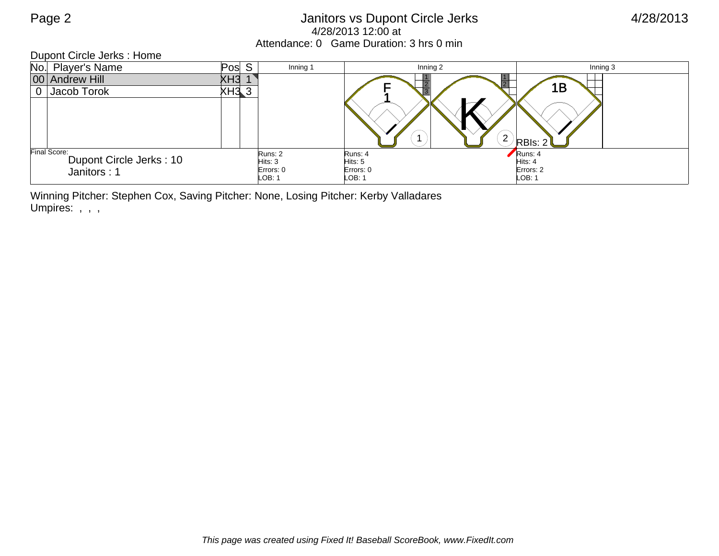## Page 2 Janitors vs Dupont Circle Jerks 4/28/2013 4/28/2013 12:00 at Attendance: 0 Game Duration: 3 hrs 0 min

| Dupont Circle Jerks: Home |                                                        |       |                                           |                                           |                                           |          |  |
|---------------------------|--------------------------------------------------------|-------|-------------------------------------------|-------------------------------------------|-------------------------------------------|----------|--|
|                           | No. Player's Name                                      | Pos S | Inning 1                                  | Inning 2                                  |                                           | Inning 3 |  |
|                           | 00 Andrew Hill                                         | ХНЗ   |                                           |                                           |                                           |          |  |
|                           | 0 Jacob Torok                                          | XH3 3 |                                           |                                           | 1B                                        |          |  |
|                           |                                                        |       |                                           |                                           | ◠<br>∠<br>RBIs: 2                         |          |  |
|                           | Final Score:<br>Dupont Circle Jerks: 10<br>Janitors: 1 |       | Runs: 2<br>Hist: 3<br>Errors: 0<br>LOB: 1 | Runs: 4<br>Hits: 5<br>Errors: 0<br>LOB: 1 | Runs: 4<br>Hits: 4<br>Errors: 2<br>LOB: 1 |          |  |

Winning Pitcher: Stephen Cox, Saving Pitcher: None, Losing Pitcher: Kerby Valladares Umpires: , , ,